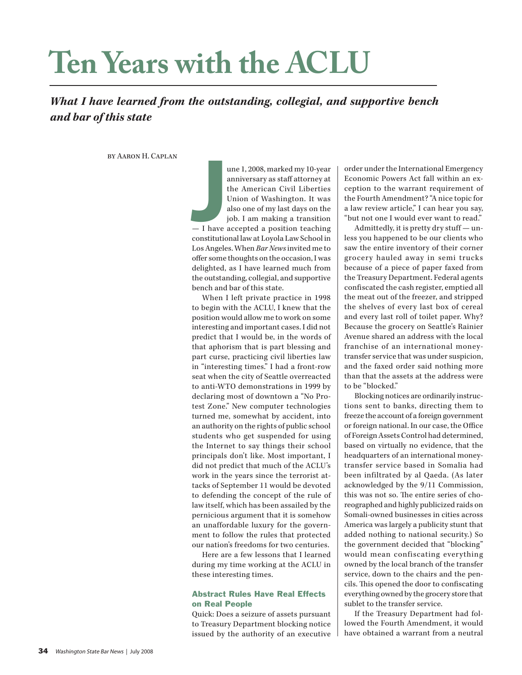# **Ten Years with the ACLU**

# *What I have learned from the outstanding, collegial, and supportive bench and bar of this state*

by Aaron H. Caplan

une 1, 2008, marked my 10-year anniversary as staff attorney at the American Civil Liberties Union of Washington. It was also one of my last days on the job. I am making a transition — I have accepted a position teaching constitutional law at Loyola Law School in Los Angeles. When *Bar News* invited me to offer some thoughts on the occasion, I was delighted, as I have learned much from the outstanding, collegial, and supportive bench and bar of this state.  $\overline{\phantom{a}}$  J have  $\overline{\phantom{a}}$  constitution

When I left private practice in 1998 to begin with the ACLU, I knew that the position would allow me to work on some interesting and important cases. I did not predict that I would be, in the words of that aphorism that is part blessing and part curse, practicing civil liberties law in "interesting times." I had a front-row seat when the city of Seattle overreacted to anti-WTO demonstrations in 1999 by declaring most of downtown a "No Protest Zone." New computer technologies turned me, somewhat by accident, into an authority on the rights of public school students who get suspended for using the Internet to say things their school principals don't like. Most important, I did not predict that much of the ACLU's work in the years since the terrorist attacks of September 11 would be devoted to defending the concept of the rule of law itself, which has been assailed by the pernicious argument that it is somehow an unaffordable luxury for the government to follow the rules that protected our nation's freedoms for two centuries.

Here are a few lessons that I learned during my time working at the ACLU in these interesting times.

#### Abstract Rules Have Real Effects on Real People

Quick: Does a seizure of assets pursuant to Treasury Department blocking notice issued by the authority of an executive order under the International Emergency Economic Powers Act fall within an exception to the warrant requirement of the Fourth Amendment? "A nice topic for a law review article," I can hear you say, "but not one I would ever want to read."

Admittedly, it is pretty dry stuff — unless you happened to be our clients who saw the entire inventory of their corner grocery hauled away in semi trucks because of a piece of paper faxed from the Treasury Department. Federal agents confiscated the cash register, emptied all the meat out of the freezer, and stripped the shelves of every last box of cereal and every last roll of toilet paper. Why? Because the grocery on Seattle's Rainier Avenue shared an address with the local franchise of an international moneytransfer service that was under suspicion, and the faxed order said nothing more than that the assets at the address were to be "blocked."

Blocking notices are ordinarily instructions sent to banks, directing them to freeze the account of a foreign government or foreign national. In our case, the Office of Foreign Assets Control had determined, based on virtually no evidence, that the headquarters of an international moneytransfer service based in Somalia had been infiltrated by al Qaeda. (As later acknowledged by the 9/11 Commission, this was not so. The entire series of choreographed and highly publicized raids on Somali-owned businesses in cities across America was largely a publicity stunt that added nothing to national security.) So the government decided that "blocking" would mean confiscating everything owned by the local branch of the transfer service, down to the chairs and the pencils. This opened the door to confiscating everything owned by the grocery store that sublet to the transfer service.

If the Treasury Department had followed the Fourth Amendment, it would have obtained a warrant from a neutral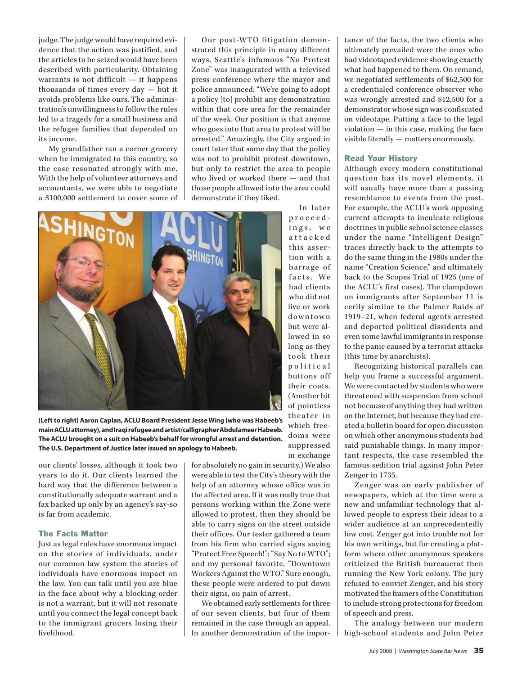judge. The judge would have required evidence that the action was justified, and the articles to be seized would have been described with particularity. Obtaining warrants is not difficult — it happens thousands of times every day — but it avoids problems like ours. The administration's unwillingness to follow the rules led to a tragedy for a small business and the refugee families that depended on its income.

My grandfather ran a corner grocery when he immigrated to this country, so the case resonated strongly with me. With the help of volunteer attorneys and accountants, we were able to negotiate a \$100,000 settlement to cover some of

Our post-WTO litigation demonstrated this principle in many different ways. Seattle's infamous "No Protest Zone" was inaugurated with a televised press conference where the mayor and police announced: "We're going to adopt a policy [to] prohibit any demonstration within that core area for the remainder of the week. Our position is that anyone who goes into that area to protest will be arrested." Amazingly, the City argued in court later that same day that the policy was not to prohibit protest downtown, but only to restrict the area to people who lived or worked there — and that those people allowed into the area could demonstrate if they liked.

In later



which freedoms were suppressed in exchange **(Left to right) Aaron Caplan, ACLU Board President Jesse Wing (who was Habeeb's main ACLU attorney), and Iraqi refugee and artist/calligrapher Abdulameer Habeeb. The ACLU brought on a suit on Habeeb's behalf for wrongful arrest and detention. The U.S. Department of Justice later issued an apology to Habeeb.**

our clients' losses, although it took two years to do it. Our clients learned the hard way that the difference between a constitutionally adequate warrant and a fax backed up only by an agency's say-so is far from academic.

## The Facts Matter

Just as legal rules have enormous impact on the stories of individuals, under our common law system the stories of individuals have enormous impact on the law. You can talk until you are blue in the face about why a blocking order is not a warrant, but it will not resonate until you connect the legal concept back to the immigrant grocers losing their livelihood.

for absolutely no gain in security.) We also were able to test the City's theory with the help of an attorney whose office was in the affected area. If it was really true that persons working within the Zone were allowed to protest, then they should be able to carry signs on the street outside their offices. Our tester gathered a team from his firm who carried signs saying "Protect Free Speech!"; "Say No to WTO"; and my personal favorite, "Downtown Workers Against the WTO." Sure enough, these people were ordered to put down their signs, on pain of arrest.

We obtained early settlements for three of our seven clients, but four of them remained in the case through an appeal. In another demonstration of the importance of the facts, the two clients who ultimately prevailed were the ones who had videotaped evidence showing exactly what had happened to them. On remand, we negotiated settlements of \$62,500 for a credentialed conference observer who was wrongly arrested and \$12,500 for a demonstrator whose sign was confiscated on videotape. Putting a face to the legal violation — in this case, making the face visible literally — matters enormously.

#### Read Your History

Although every modern constitutional question has its novel elements, it will usually have more than a passing resemblance to events from the past. For example, the ACLU's work opposing current attempts to inculcate religious doctrines in public school science classes under the name "Intelligent Design" traces directly back to the attempts to do the same thing in the 1980s under the name "Creation Science," and ultimately back to the Scopes Trial of 1925 (one of the ACLU's first cases). The clampdown on immigrants after September 11 is eerily similar to the Palmer Raids of 1919–21, when federal agents arrested and deported political dissidents and even some lawful immigrants in response to the panic caused by a terrorist attacks (this time by anarchists).

Recognizing historical parallels can help you frame a successful argument. We were contacted by students who were threatened with suspension from school not because of anything they had written on the Internet, but because they had created a bulletin board for open discussion on which other anonymous students had said punishable things. In many important respects, the case resembled the famous sedition trial against John Peter Zenger in 1735.

Zenger was an early publisher of newspapers, which at the time were a new and unfamiliar technology that allowed people to express their ideas to a wider audience at an unprecedentedly low cost. Zenger got into trouble not for his own writings, but for creating a platform where other anonymous speakers criticized the British bureaucrat then running the New York colony. The jury refused to convict Zenger, and his story motivated the framers of the Constitution to include strong protections for freedom of speech and press.

The analogy between our modern high-school students and John Peter